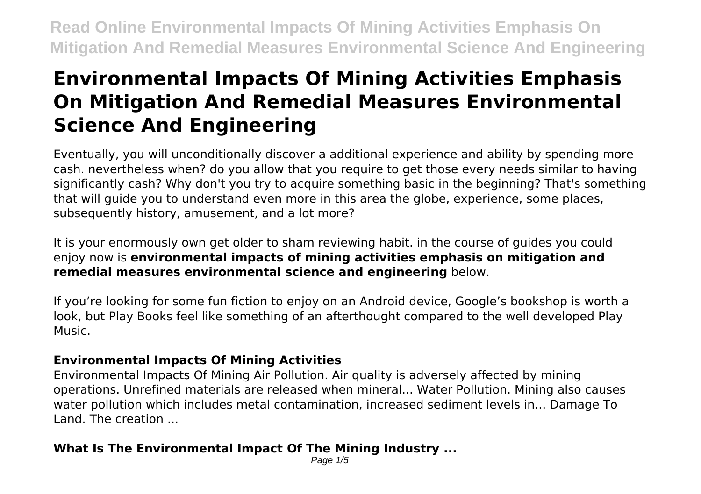# **Environmental Impacts Of Mining Activities Emphasis On Mitigation And Remedial Measures Environmental Science And Engineering**

Eventually, you will unconditionally discover a additional experience and ability by spending more cash. nevertheless when? do you allow that you require to get those every needs similar to having significantly cash? Why don't you try to acquire something basic in the beginning? That's something that will guide you to understand even more in this area the globe, experience, some places, subsequently history, amusement, and a lot more?

It is your enormously own get older to sham reviewing habit. in the course of guides you could enjoy now is **environmental impacts of mining activities emphasis on mitigation and remedial measures environmental science and engineering** below.

If you're looking for some fun fiction to enjoy on an Android device, Google's bookshop is worth a look, but Play Books feel like something of an afterthought compared to the well developed Play Music.

#### **Environmental Impacts Of Mining Activities**

Environmental Impacts Of Mining Air Pollution. Air quality is adversely affected by mining operations. Unrefined materials are released when mineral... Water Pollution. Mining also causes water pollution which includes metal contamination, increased sediment levels in... Damage To Land. The creation ...

#### **What Is The Environmental Impact Of The Mining Industry ...**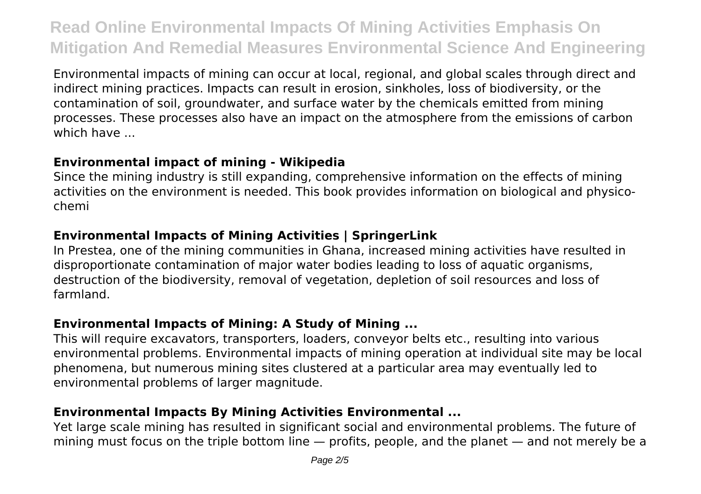Environmental impacts of mining can occur at local, regional, and global scales through direct and indirect mining practices. Impacts can result in erosion, sinkholes, loss of biodiversity, or the contamination of soil, groundwater, and surface water by the chemicals emitted from mining processes. These processes also have an impact on the atmosphere from the emissions of carbon which have ...

#### **Environmental impact of mining - Wikipedia**

Since the mining industry is still expanding, comprehensive information on the effects of mining activities on the environment is needed. This book provides information on biological and physicochemi

### **Environmental Impacts of Mining Activities | SpringerLink**

In Prestea, one of the mining communities in Ghana, increased mining activities have resulted in disproportionate contamination of major water bodies leading to loss of aquatic organisms, destruction of the biodiversity, removal of vegetation, depletion of soil resources and loss of farmland.

### **Environmental Impacts of Mining: A Study of Mining ...**

This will require excavators, transporters, loaders, conveyor belts etc., resulting into various environmental problems. Environmental impacts of mining operation at individual site may be local phenomena, but numerous mining sites clustered at a particular area may eventually led to environmental problems of larger magnitude.

## **Environmental Impacts By Mining Activities Environmental ...**

Yet large scale mining has resulted in significant social and environmental problems. The future of mining must focus on the triple bottom line — profits, people, and the planet — and not merely be a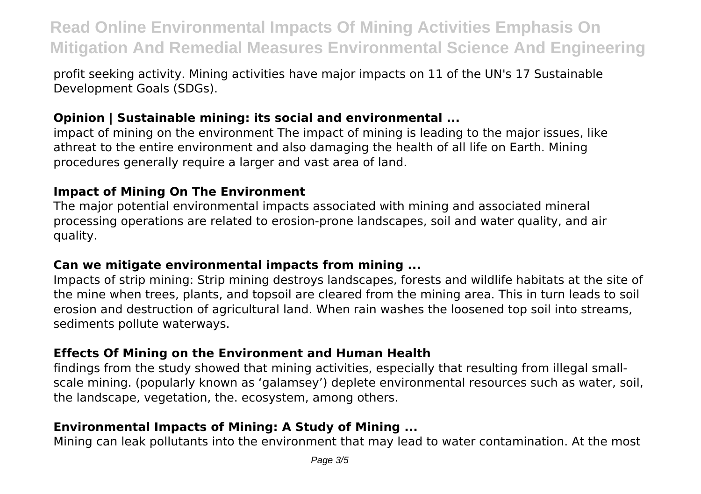profit seeking activity. Mining activities have major impacts on 11 of the UN's 17 Sustainable Development Goals (SDGs).

#### **Opinion | Sustainable mining: its social and environmental ...**

impact of mining on the environment The impact of mining is leading to the major issues, like athreat to the entire environment and also damaging the health of all life on Earth. Mining procedures generally require a larger and vast area of land.

#### **Impact of Mining On The Environment**

The major potential environmental impacts associated with mining and associated mineral processing operations are related to erosion-prone landscapes, soil and water quality, and air quality.

#### **Can we mitigate environmental impacts from mining ...**

Impacts of strip mining: Strip mining destroys landscapes, forests and wildlife habitats at the site of the mine when trees, plants, and topsoil are cleared from the mining area. This in turn leads to soil erosion and destruction of agricultural land. When rain washes the loosened top soil into streams, sediments pollute waterways.

#### **Effects Of Mining on the Environment and Human Health**

findings from the study showed that mining activities, especially that resulting from illegal smallscale mining. (popularly known as 'galamsey') deplete environmental resources such as water, soil, the landscape, vegetation, the. ecosystem, among others.

#### **Environmental Impacts of Mining: A Study of Mining ...**

Mining can leak pollutants into the environment that may lead to water contamination. At the most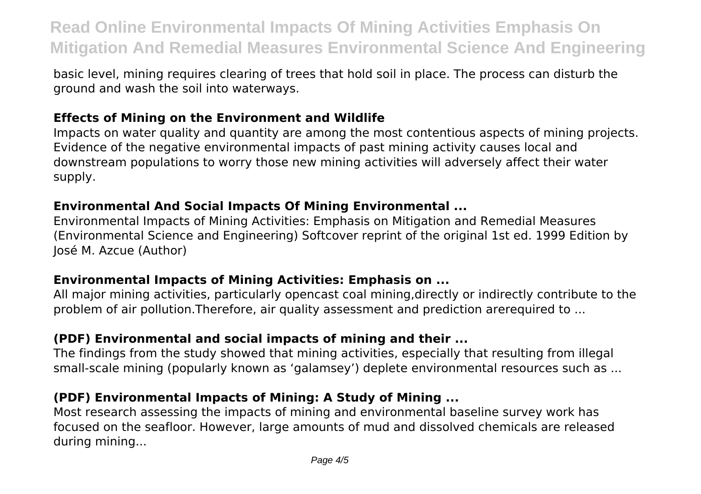basic level, mining requires clearing of trees that hold soil in place. The process can disturb the ground and wash the soil into waterways.

#### **Effects of Mining on the Environment and Wildlife**

Impacts on water quality and quantity are among the most contentious aspects of mining projects. Evidence of the negative environmental impacts of past mining activity causes local and downstream populations to worry those new mining activities will adversely affect their water supply.

#### **Environmental And Social Impacts Of Mining Environmental ...**

Environmental Impacts of Mining Activities: Emphasis on Mitigation and Remedial Measures (Environmental Science and Engineering) Softcover reprint of the original 1st ed. 1999 Edition by José M. Azcue (Author)

#### **Environmental Impacts of Mining Activities: Emphasis on ...**

All major mining activities, particularly opencast coal mining,directly or indirectly contribute to the problem of air pollution.Therefore, air quality assessment and prediction arerequired to ...

### **(PDF) Environmental and social impacts of mining and their ...**

The findings from the study showed that mining activities, especially that resulting from illegal small-scale mining (popularly known as 'galamsey') deplete environmental resources such as ...

### **(PDF) Environmental Impacts of Mining: A Study of Mining ...**

Most research assessing the impacts of mining and environmental baseline survey work has focused on the seafloor. However, large amounts of mud and dissolved chemicals are released during mining...